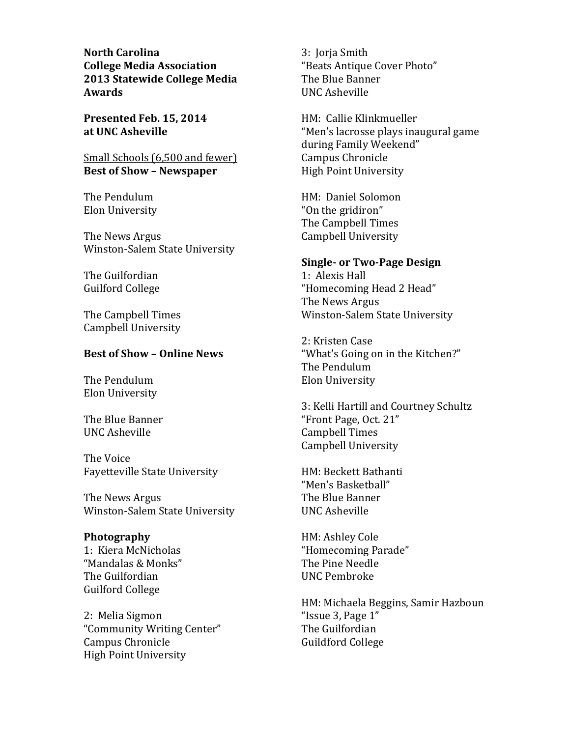**North Carolina College Media Association** 2013 Statewide College Media **Awards** 

Presented Feb. 15, 2014 at UNC Asheville

Small Schools (6,500 and fewer) **Best of Show - Newspaper** 

The Pendulum Elon University

The News Argus Winston-Salem State University

The Guilfordian **Guilford College** 

The Campbell Times **Campbell University** 

# **Best of Show - Online News**

The Pendulum Elon University

The Blue Banner **UNC Asheville** 

The Voice **Favetteville State University** 

The News Argus Winston-Salem State University

## Photography

1: Kiera McNicholas "Mandalas & Monks" The Guilfordian **Guilford College** 

2: Melia Sigmon "Community Writing Center" Campus Chronicle **High Point University** 

3: Jorja Smith "Beats Antique Cover Photo" The Blue Banner **UNC Asheville** 

HM: Callie Klinkmueller "Men's lacrosse plays inaugural game during Family Weekend" Campus Chronicle **High Point University** 

HM: Daniel Solomon "On the gridiron" The Campbell Times Campbell University

## **Single- or Two-Page Design**

1: Alexis Hall "Homecoming Head 2 Head" The News Argus Winston-Salem State University

2: Kristen Case "What's Going on in the Kitchen?" The Pendulum Elon University

3: Kelli Hartill and Courtney Schultz "Front Page, Oct. 21" **Campbell Times Campbell University** 

HM: Beckett Bathanti "Men's Basketball" The Blue Banner **UNC Asheville** 

HM: Ashley Cole "Homecoming Parade" The Pine Needle **IINC** Pembroke

HM: Michaela Beggins, Samir Hazboun "Issue 3, Page 1" The Guilfordian **Guildford College**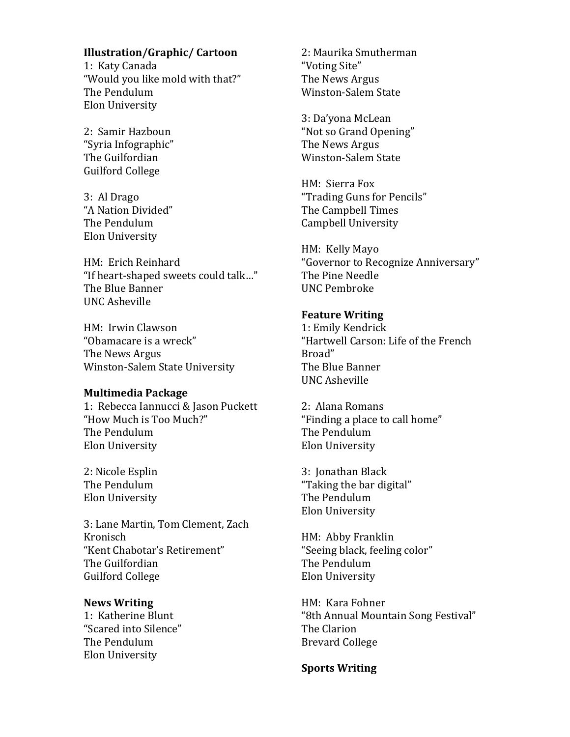# **Illustration/Graphic/Cartoon**

1: Katy Canada "Would you like mold with that?" The Pendulum Elon University

2: Samir Hazboun "Svria Infographic" The Guilfordian **Guilford College** 

3: Al Drago "A Nation Divided" The Pendulum Elon University

HM: Erich Reinhard "If heart-shaped sweets could talk..." The Blue Banner **UNC Asheville** 

HM: Irwin Clawson "Obamacare is a wreck" The News Argus Winston-Salem State University

## **Multimedia Package**

1: Rebecca Iannucci & Jason Puckett "How Much is Too Much?" The Pendulum Elon University

2: Nicole Esplin The Pendulum Elon University

3: Lane Martin, Tom Clement, Zach Kronisch "Kent Chabotar's Retirement" The Guilfordian Guilford College

## **News Writing**

1: Katherine Blunt "Scared into Silence" The Pendulum Elon University

2: Maurika Smutherman "Voting Site" The News Argus **Winston-Salem State** 

3: Da'yona McLean "Not so Grand Opening" The News Argus Winston-Salem State

HM: Sierra Fox "Trading Guns for Pencils" The Campbell Times **Campbell University** 

HM: Kelly Mayo "Governor to Recognize Anniversary" The Pine Needle **UNC Pembroke** 

## **Feature Writing**

1: Emily Kendrick "Hartwell Carson: Life of the French Broad" The Blue Banner **UNC Asheville** 

2: Alana Romans "Finding a place to call home" The Pendulum Elon University

3: Jonathan Black "Taking the bar digital" The Pendulum Elon University

HM: Abby Franklin "Seeing black, feeling color" The Pendulum Elon University

HM: Kara Fohner "8th Annual Mountain Song Festival" The Clarion **Brevard College** 

**Sports Writing**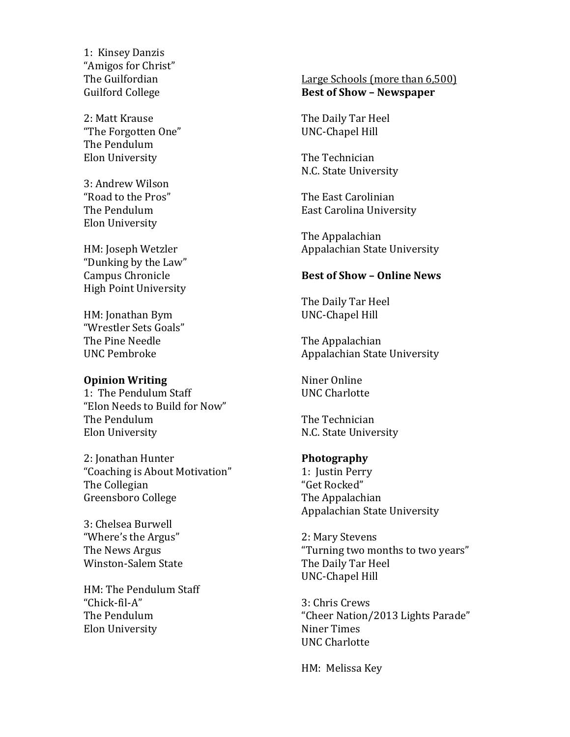1: Kinsey Danzis "Amigos for Christ" The Guilfordian Guilford College

2: Matt Krause "The Forgotten One" The Pendulum Elon University

3: Andrew Wilson "Road to the Pros" The Pendulum Elon University

HM: Joseph Wetzler "Dunking by the Law" Campus Chronicle High Point University

HM: Jonathan Bym "Wrestler Sets Goals" The Pine Needle UNC!Pembroke

## **Opinion Writing**

1: The Pendulum Staff "Elon Needs to Build for Now" The Pendulum Elon University

2: Jonathan Hunter "Coaching is About Motivation" The Collegian Greensboro College

3: Chelsea Burwell "Where's the Argus" The News Argus Winston-Salem State

HM: The Pendulum Staff "Chick-fil-A" The Pendulum **Elon University** 

# Large Schools (more than 6,500) **Best&of&Show&– Newspaper**

The Daily Tar Heel UNC-Chapel Hill

The Technician N.C. State University

The East Carolinian East Carolina University

The Appalachian Appalachian State University

## **Best of Show - Online News**

The Daily Tar Heel UNC-Chapel Hill

The Appalachian Appalachian State University

Niner Online UNC Charlotte

The Technician N.C. State University

## **Photography**

1: Justin Perry "Get Rocked" The Appalachian Appalachian State University

2: Mary Stevens "Turning two months to two years" The Daily Tar Heel UNC-Chapel Hill

3: Chris Crews "Cheer Nation/2013 Lights Parade" Niner Times UNC Charlotte

HM: Melissa Key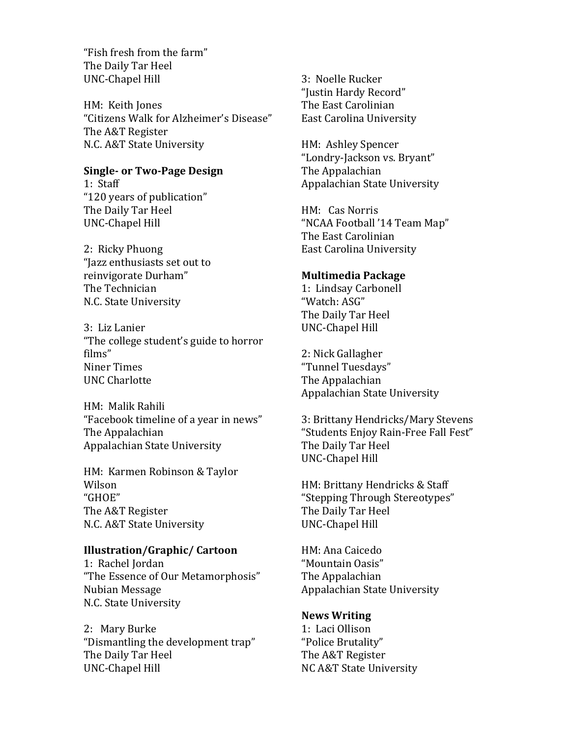"Fish fresh from the farm" The Daily Tar Heel UNC-Chapel Hill

HM: Keith Jones "Citizens Walk for Alzheimer's Disease" The A&T Register N.C. A&T State University

# **Single- or Two-Page Design**

1: Staff "120 years of publication" The Daily Tar Heel UNC-Chapel Hill

2: Ricky Phuong "Jazz enthusiasts set out to reinvigorate Durham" The Technician N.C. State University

3: Liz Lanier "The college student's guide to horror" films" Niner Times UNC Charlotte

HM: Malik Rahili "Facebook timeline of a year in news" The Appalachian Appalachian State University

HM: Karmen Robinson & Taylor Wilson "GHOE" The A&T Register N.C. A&T State University

## **Illustration/Graphic/ Cartoon**

1: Rachel Jordan "The Essence of Our Metamorphosis" Nubian!Message! N.C. State University

2: Mary Burke "Dismantling the development trap" The Daily Tar Heel UNC-Chapel Hill

3: Noelle Rucker "Justin Hardy Record" The East Carolinian East Carolina University

HM: Ashley Spencer "Londry-Jackson vs. Bryant" The Appalachian Appalachian State University

HM: Cas Norris "NCAA Football '14 Team Map" The East Carolinian East Carolina University

## **Multimedia&Package**

1: Lindsay Carbonell "Watch: ASG" The Daily Tar Heel UNC-Chapel Hill

2: Nick Gallagher "Tunnel Tuesdays" The Appalachian Appalachian State University

3: Brittany Hendricks/Mary Stevens "Students Enjoy Rain-Free Fall Fest" The Daily Tar Heel UNC-Chapel Hill

HM: Brittany Hendricks & Staff "Stepping Through Stereotypes" The Daily Tar Heel UNC-Chapel Hill

HM: Ana Caicedo "Mountain Oasis" The Appalachian Appalachian State University

# **News&Writing**

1: Laci Ollison "Police Brutality" The A&T Register NC A&T State University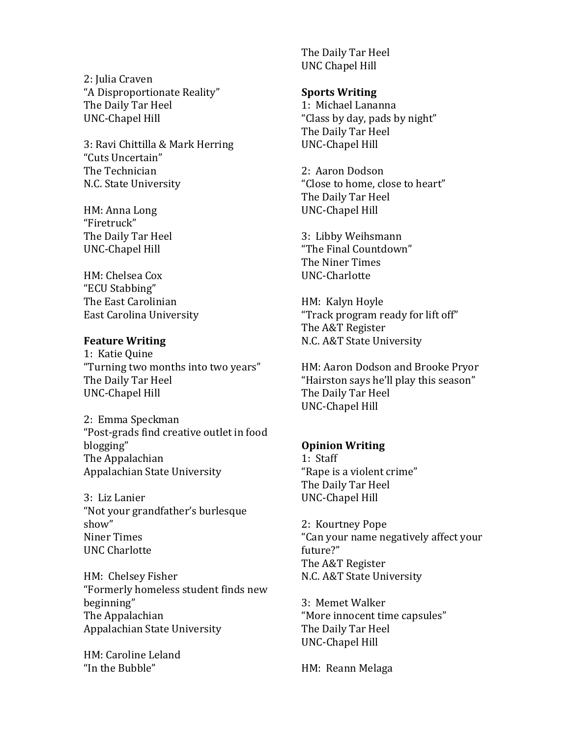2: Julia Craven "A Disproportionate Reality" The Daily Tar Heel UNC-Chapel Hill

3: Ravi Chittilla & Mark Herring "Cuts Uncertain" The Technician N.C. State University

HM: Anna Long "Firetruck" The Daily Tar Heel UNC-Chapel Hill

HM: Chelsea Cox "ECU!Stabbing" The East Carolinian East Carolina University

## **Feature Writing**

1: Katie Quine "Turning two months into two years" The Daily Tar Heel UNC-Chapel Hill

2: Emma Speckman "Post-grads find creative outlet in food blogging" The Appalachian Appalachian State University

3: Liz Lanier "Not your grandfather's burlesque show" Niner Times UNC Charlotte

HM: Chelsey Fisher "Formerly homeless student finds new beginning" The Appalachian Appalachian State University

HM: Caroline Leland "In the Bubble"

The Daily Tar Heel UNC!Chapel!Hill

## **Sports Writing**

1: Michael Lananna "Class by day, pads by night" The Daily Tar Heel UNC-Chapel Hill

2: Aaron Dodson "Close to home, close to heart" The Daily Tar Heel UNC-Chapel Hill

3: Libby Weihsmann "The Final Countdown" The Niner Times UNC-Charlotte

HM: Kalyn Hoyle "Track program ready for lift off" The A&T Register N.C. A&T State University

HM: Aaron Dodson and Brooke Pryor "Hairston says he'll play this season" The Daily Tar Heel UNC-Chapel Hill

# **Opinion Writing**

1: Staff "Rape is a violent crime" The Daily Tar Heel UNC-Chapel Hill

2: Kourtney Pope "Can your name negatively affect your future?" The A&T Register N.C. A&T State University

3: Memet Walker "More innocent time capsules" The Daily Tar Heel UNC-Chapel Hill

HM: Reann Melaga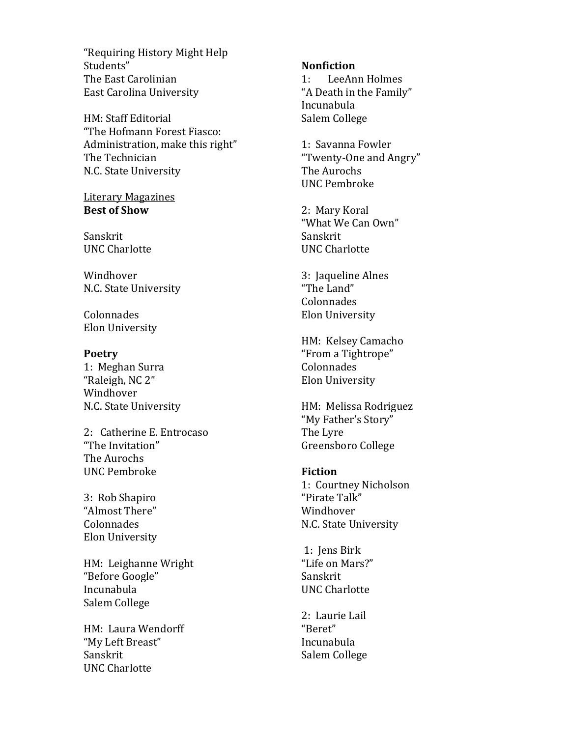"Requiring History Might Help Students" The East Carolinian East Carolina University

HM: Staff Editorial "The Hofmann Forest Fiasco: Administration, make this right" The Technician N.C. State University

**Literary Magazines Best of Show** 

Sanskrit **UNC Charlotte** 

Windhover N.C. State University

Colonnades Elon University

**Poetry** 1: Meghan Surra "Raleigh, NC 2" Windhover N.C. State University

2: Catherine E. Entrocaso "The Invitation" The Aurochs **UNC Pembroke** 

3: Rob Shapiro "Almost There" Colonnades **Elon University** 

HM: Leighanne Wright "Before Google" Incunabula Salem College

HM: Laura Wendorff "My Left Breast" Sanskrit **UNC Charlotte** 

## **Nonfiction**

LeeAnn Holmes  $1:$ "A Death in the Family" Incunabula Salem College

1: Savanna Fowler "Twenty-One and Angry" The Aurochs **UNC Pembroke** 

2: Mary Koral "What We Can Own" Sanskrit **UNC Charlotte** 

3: Jaqueline Alnes "The Land" Colonnades Elon University

HM: Kelsey Camacho "From a Tightrope" Colonnades Elon University

HM: Melissa Rodriguez "My Father's Story" The Lyre Greensboro College

## **Fiction**

1: Courtney Nicholson "Pirate Talk" Windhover N.C. State University

1: Jens Birk "Life on Mars?" Sanskrit **UNC Charlotte** 

2: Laurie Lail "Beret" Incunabula Salem College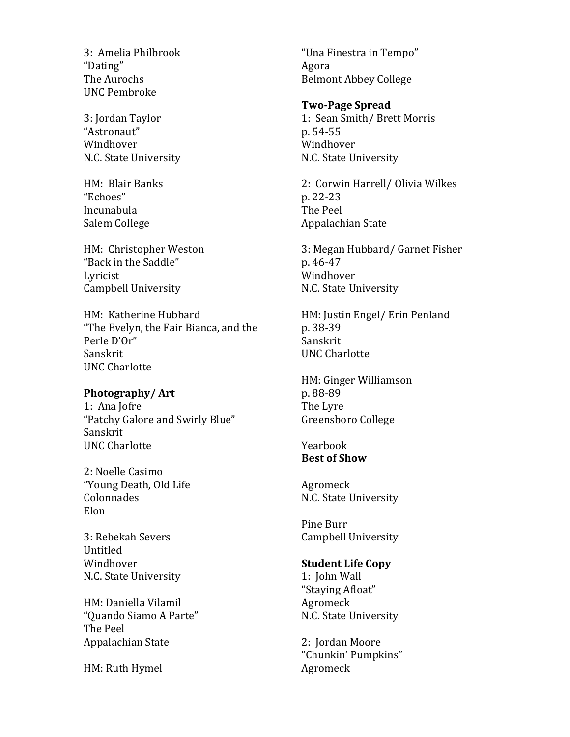3: Amelia Philbrook "Dating" The Aurochs **UNC Pembroke** 

3: Jordan Taylor "Astronaut" Windhover N.C. State University

HM: Blair Banks "Echoes" Incunabula Salem College

HM: Christopher Weston "Back in the Saddle" Lyricist **Campbell University** 

HM: Katherine Hubbard "The Evelyn, the Fair Bianca, and the Perle D'Or" Sanskrit **UNC Charlotte** 

## Photography/Art

1: Ana Jofre "Patchy Galore and Swirly Blue" Sanskrit **UNC Charlotte** 

2: Noelle Casimo "Young Death, Old Life Colonnades Elon

3: Rebekah Severs Untitled Windhover N.C. State University

HM: Daniella Vilamil "Ouando Siamo A Parte" The Peel Appalachian State

HM: Ruth Hymel

"Una Finestra in Tempo" Agora **Belmont Abbey College** 

## **Two-Page Spread**

1: Sean Smith/Brett Morris p. 54-55 Windhover N.C. State University

2: Corwin Harrell/ Olivia Wilkes p. 22-23 The Peel Appalachian State

3: Megan Hubbard/ Garnet Fisher p. 46-47 Windhover N.C. State University

HM: Justin Engel/ Erin Penland p. 38-39 Sanskrit **UNC Charlotte** 

HM: Ginger Williamson p. 88-89 The Lyre Greensboro College

## Yearbook **Best of Show**

Agromeck N.C. State University

Pine Burr Campbell University

## **Student Life Copy**

1: John Wall "Staying Afloat" Agromeck N.C. State University

2: Jordan Moore "Chunkin' Pumpkins" Agromeck